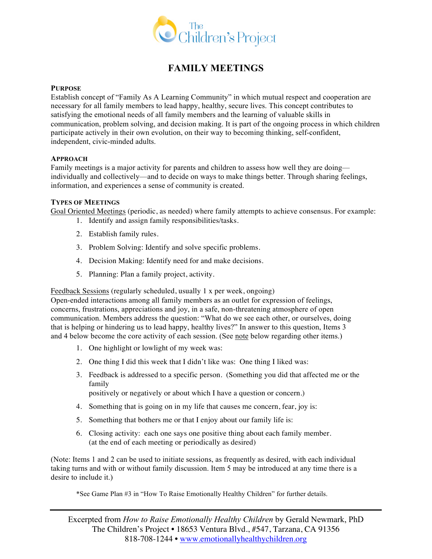

# **FAMILY MEETINGS**

#### **PURPOSE**

Establish concept of "Family As A Learning Community" in which mutual respect and cooperation are necessary for all family members to lead happy, healthy, secure lives. This concept contributes to satisfying the emotional needs of all family members and the learning of valuable skills in communication, problem solving, and decision making. It is part of the ongoing process in which children participate actively in their own evolution, on their way to becoming thinking, self-confident, independent, civic-minded adults.

### **APPROACH**

Family meetings is a major activity for parents and children to assess how well they are doing individually and collectively—and to decide on ways to make things better. Through sharing feelings, information, and experiences a sense of community is created.

#### **TYPES OF MEETINGS**

Goal Oriented Meetings (periodic, as needed) where family attempts to achieve consensus. For example:

- 1. Identify and assign family responsibilities/tasks.
- 2. Establish family rules.
- 3. Problem Solving: Identify and solve specific problems.
- 4. Decision Making: Identify need for and make decisions.
- 5. Planning: Plan a family project, activity.

Feedback Sessions (regularly scheduled, usually 1 x per week, ongoing)

Open-ended interactions among all family members as an outlet for expression of feelings, concerns, frustrations, appreciations and joy, in a safe, non-threatening atmosphere of open communication. Members address the question: "What do we see each other, or ourselves, doing that is helping or hindering us to lead happy, healthy lives?" In answer to this question, Items 3 and 4 below become the core activity of each session. (See note below regarding other items.)

- 1. One highlight or lowlight of my week was:
- 2. One thing I did this week that I didn't like was: One thing I liked was:
- 3. Feedback is addressed to a specific person. (Something you did that affected me or the family

positively or negatively or about which I have a question or concern.)

- 4. Something that is going on in my life that causes me concern, fear, joy is:
- 5. Something that bothers me or that I enjoy about our family life is:
- 6. Closing activity: each one says one positive thing about each family member. (at the end of each meeting or periodically as desired)

(Note: Items 1 and 2 can be used to initiate sessions, as frequently as desired, with each individual taking turns and with or without family discussion. Item 5 may be introduced at any time there is a desire to include it.)

\*See Game Plan #3 in "How To Raise Emotionally Healthy Children" for further details.